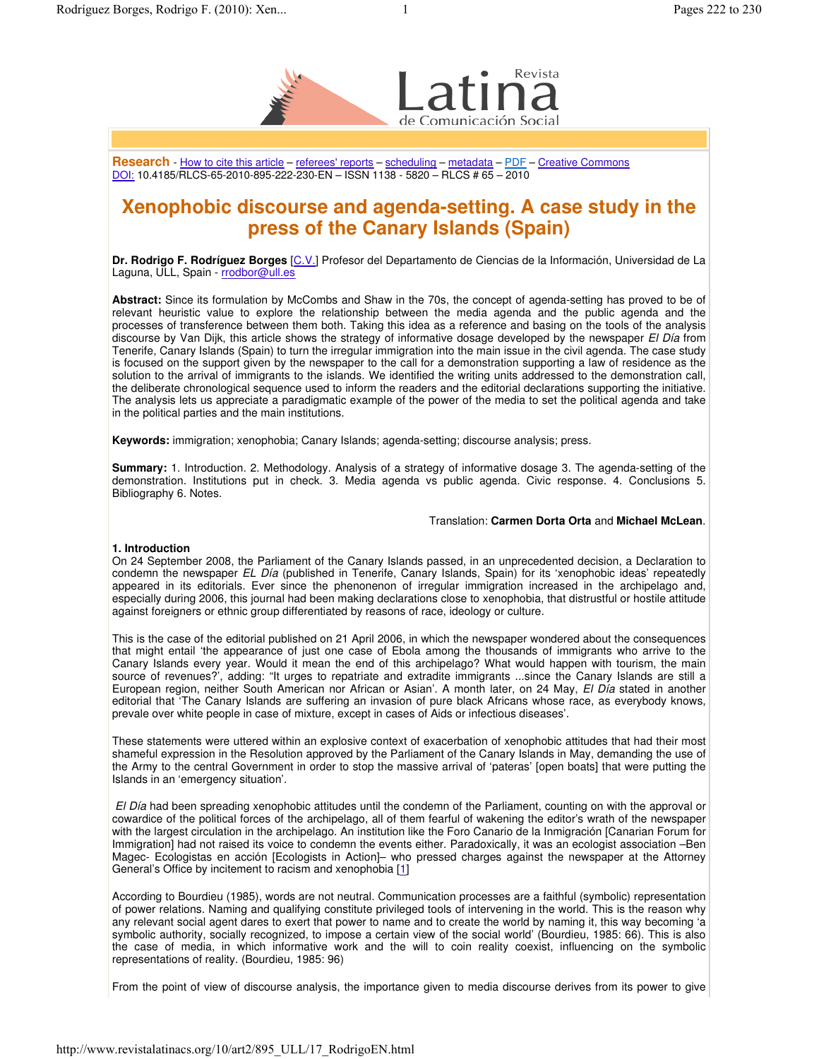

**Research** - How to cite this article – referees' reports – scheduling – metadata – PDF – Creative Commons DOI: 10.4185/RLCS-65-2010-895-222-230-EN – ISSN 1138 - 5820 – RLCS # 65 – 2010

# **Xenophobic discourse and agenda-setting. A case study in the press of the Canary Islands (Spain)**

**Dr. Rodrigo F. Rodríguez Borges** [C.V.] Profesor del Departamento de Ciencias de la Información, Universidad de La Laguna, ULL, Spain - rrodbor@ull.es

**Abstract:** Since its formulation by McCombs and Shaw in the 70s, the concept of agenda-setting has proved to be of relevant heuristic value to explore the relationship between the media agenda and the public agenda and the processes of transference between them both. Taking this idea as a reference and basing on the tools of the analysis discourse by Van Dijk, this article shows the strategy of informative dosage developed by the newspaper *El Día* from Tenerife, Canary Islands (Spain) to turn the irregular immigration into the main issue in the civil agenda. The case study is focused on the support given by the newspaper to the call for a demonstration supporting a law of residence as the solution to the arrival of immigrants to the islands. We identified the writing units addressed to the demonstration call, the deliberate chronological sequence used to inform the readers and the editorial declarations supporting the initiative. The analysis lets us appreciate a paradigmatic example of the power of the media to set the political agenda and take in the political parties and the main institutions.

**Keywords:** immigration; xenophobia; Canary Islands; agenda-setting; discourse analysis; press.

**Summary:** 1. Introduction. 2. Methodology. Analysis of a strategy of informative dosage 3. The agenda-setting of the demonstration. Institutions put in check. 3. Media agenda vs public agenda. Civic response. 4. Conclusions 5. Bibliography 6. Notes.

# Translation: **Carmen Dorta Orta** and **Michael McLean**.

# **1. Introduction**

On 24 September 2008, the Parliament of the Canary Islands passed, in an unprecedented decision, a Declaration to condemn the newspaper *EL Día* (published in Tenerife, Canary Islands, Spain) for its 'xenophobic ideas' repeatedly appeared in its editorials. Ever since the phenonenon of irregular immigration increased in the archipelago and, especially during 2006, this journal had been making declarations close to xenophobia, that distrustful or hostile attitude against foreigners or ethnic group differentiated by reasons of race, ideology or culture.

This is the case of the editorial published on 21 April 2006, in which the newspaper wondered about the consequences that might entail 'the appearance of just one case of Ebola among the thousands of immigrants who arrive to the Canary Islands every year. Would it mean the end of this archipelago? What would happen with tourism, the main source of revenues?', adding: "It urges to repatriate and extradite immigrants ...since the Canary Islands are still a European region, neither South American nor African or Asian'. A month later, on 24 May, *El Día* stated in another editorial that 'The Canary Islands are suffering an invasion of pure black Africans whose race, as everybody knows, prevale over white people in case of mixture, except in cases of Aids or infectious diseases'.

These statements were uttered within an explosive context of exacerbation of xenophobic attitudes that had their most shameful expression in the Resolution approved by the Parliament of the Canary Islands in May, demanding the use of the Army to the central Government in order to stop the massive arrival of 'pateras' [open boats] that were putting the Islands in an 'emergency situation'.

*El Día* had been spreading xenophobic attitudes until the condemn of the Parliament, counting on with the approval or cowardice of the political forces of the archipelago, all of them fearful of wakening the editor's wrath of the newspaper with the largest circulation in the archipelago. An institution like the Foro Canario de la Inmigración [Canarian Forum for Immigration] had not raised its voice to condemn the events either. Paradoxically, it was an ecologist association –Ben Magec- Ecologistas en acción [Ecologists in Action]– who pressed charges against the newspaper at the Attorney General's Office by incitement to racism and xenophobia [1]

According to Bourdieu (1985), words are not neutral. Communication processes are a faithful (symbolic) representation of power relations. Naming and qualifying constitute privileged tools of intervening in the world. This is the reason why any relevant social agent dares to exert that power to name and to create the world by naming it, this way becoming 'a symbolic authority, socially recognized, to impose a certain view of the social world' (Bourdieu, 1985: 66). This is also the case of media, in which informative work and the will to coin reality coexist, influencing on the symbolic representations of reality. (Bourdieu, 1985: 96)

From the point of view of discourse analysis, the importance given to media discourse derives from its power to give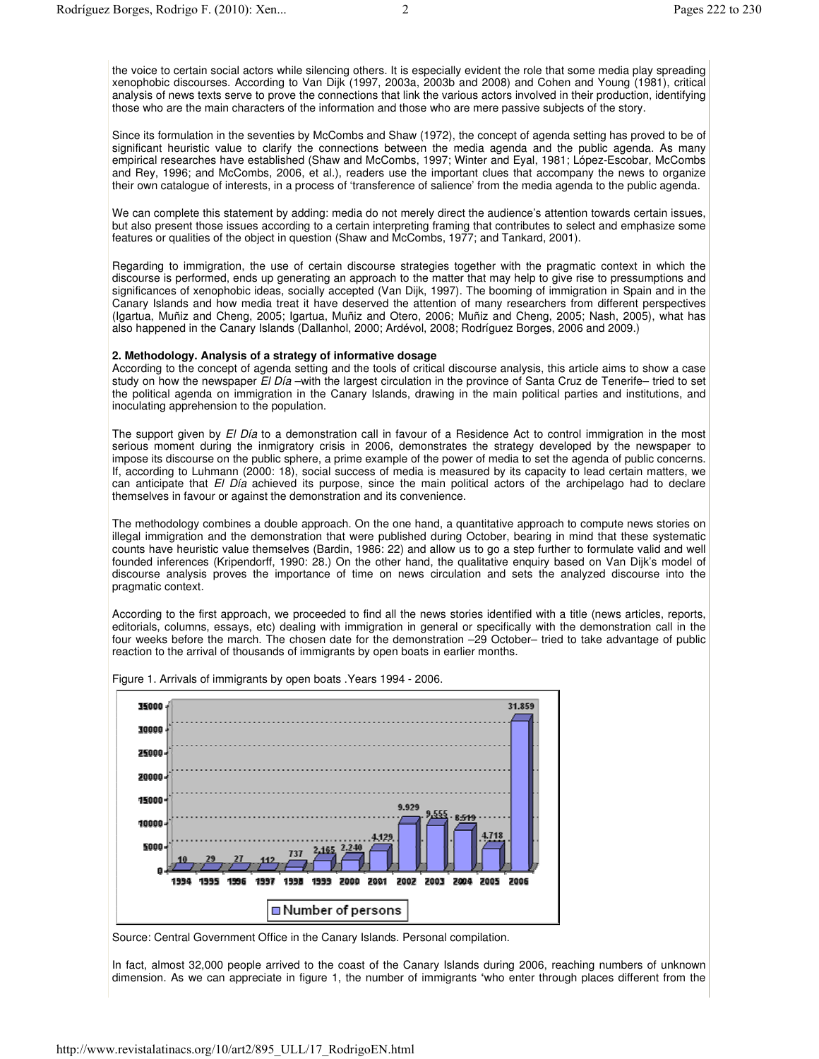the voice to certain social actors while silencing others. It is especially evident the role that some media play spreading xenophobic discourses. According to Van Dijk (1997, 2003a, 2003b and 2008) and Cohen and Young (1981), critical analysis of news texts serve to prove the connections that link the various actors involved in their production, identifying those who are the main characters of the information and those who are mere passive subjects of the story.

Since its formulation in the seventies by McCombs and Shaw (1972), the concept of agenda setting has proved to be of significant heuristic value to clarify the connections between the media agenda and the public agenda. As many empirical researches have established (Shaw and McCombs, 1997; Winter and Eyal, 1981; López-Escobar, McCombs and Rey, 1996; and McCombs, 2006, et al.), readers use the important clues that accompany the news to organize their own catalogue of interests, in a process of 'transference of salience' from the media agenda to the public agenda.

We can complete this statement by adding: media do not merely direct the audience's attention towards certain issues, but also present those issues according to a certain interpreting framing that contributes to select and emphasize some features or qualities of the object in question (Shaw and McCombs, 1977; and Tankard, 2001).

Regarding to immigration, the use of certain discourse strategies together with the pragmatic context in which the discourse is performed, ends up generating an approach to the matter that may help to give rise to pressumptions and significances of xenophobic ideas, socially accepted (Van Dijk, 1997). The booming of immigration in Spain and in the Canary Islands and how media treat it have deserved the attention of many researchers from different perspectives (Igartua, Muñiz and Cheng, 2005; Igartua, Muñiz and Otero, 2006; Muñiz and Cheng, 2005; Nash, 2005), what has also happened in the Canary Islands (Dallanhol, 2000; Ardévol, 2008; Rodríguez Borges, 2006 and 2009.)

### **2. Methodology. Analysis of a strategy of informative dosage**

According to the concept of agenda setting and the tools of critical discourse analysis, this article aims to show a case study on how the newspaper *El Día* –with the largest circulation in the province of Santa Cruz de Tenerife– tried to set the political agenda on immigration in the Canary Islands, drawing in the main political parties and institutions, and inoculating apprehension to the population.

The support given by *El Día* to a demonstration call in favour of a Residence Act to control immigration in the most serious moment during the inmigratory crisis in 2006, demonstrates the strategy developed by the newspaper to impose its discourse on the public sphere, a prime example of the power of media to set the agenda of public concerns. If, according to Luhmann (2000: 18), social success of media is measured by its capacity to lead certain matters, we can anticipate that *El Día* achieved its purpose, since the main political actors of the archipelago had to declare themselves in favour or against the demonstration and its convenience.

The methodology combines a double approach. On the one hand, a quantitative approach to compute news stories on illegal immigration and the demonstration that were published during October, bearing in mind that these systematic counts have heuristic value themselves (Bardin, 1986: 22) and allow us to go a step further to formulate valid and well founded inferences (Kripendorff, 1990: 28.) On the other hand, the qualitative enquiry based on Van Dijk's model of discourse analysis proves the importance of time on news circulation and sets the analyzed discourse into the pragmatic context.

According to the first approach, we proceeded to find all the news stories identified with a title (news articles, reports, editorials, columns, essays, etc) dealing with immigration in general or specifically with the demonstration call in the four weeks before the march. The chosen date for the demonstration –29 October– tried to take advantage of public reaction to the arrival of thousands of immigrants by open boats in earlier months.



Figure 1. Arrivals of immigrants by open boats .Years 1994 - 2006.

Source: Central Government Office in the Canary Islands. Personal compilation.

In fact, almost 32,000 people arrived to the coast of the Canary Islands during 2006, reaching numbers of unknown dimension. As we can appreciate in figure 1, the number of immigrants **'**who enter through places different from the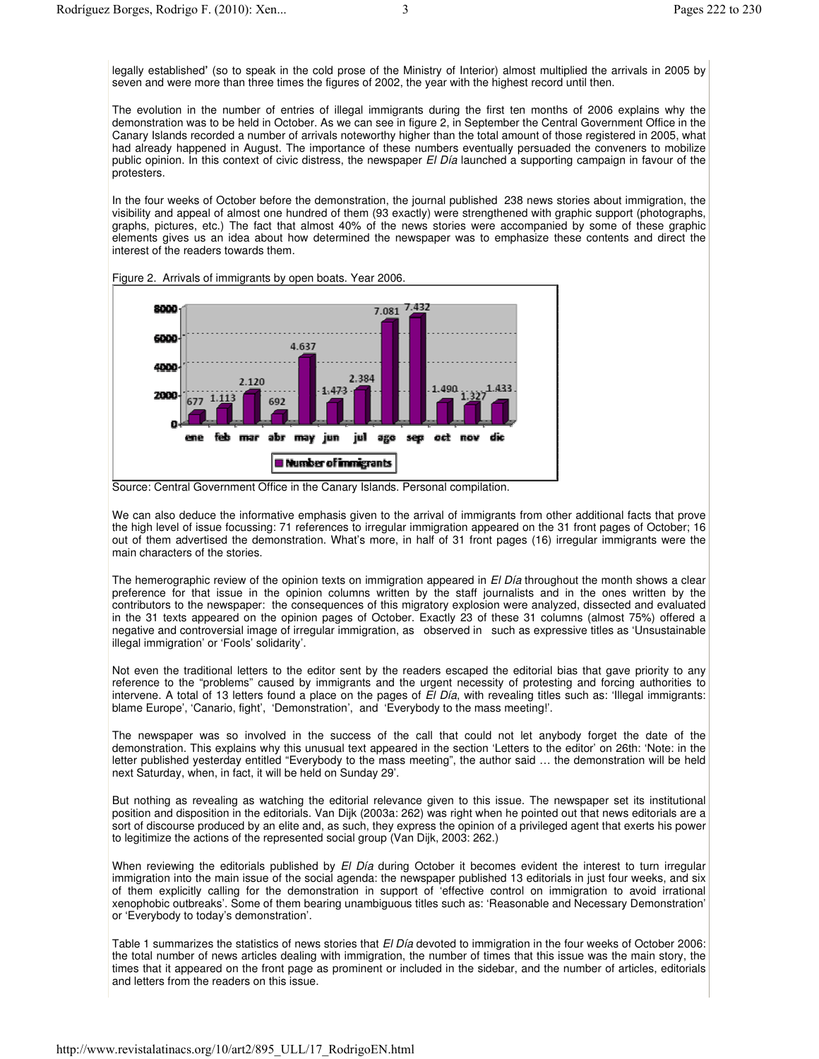legally established**'** (so to speak in the cold prose of the Ministry of Interior) almost multiplied the arrivals in 2005 by seven and were more than three times the figures of 2002, the year with the highest record until then.

The evolution in the number of entries of illegal immigrants during the first ten months of 2006 explains why the demonstration was to be held in October. As we can see in figure 2, in September the Central Government Office in the Canary Islands recorded a number of arrivals noteworthy higher than the total amount of those registered in 2005, what had already happened in August. The importance of these numbers eventually persuaded the conveners to mobilize public opinion. In this context of civic distress, the newspaper *El Día* launched a supporting campaign in favour of the protesters.

In the four weeks of October before the demonstration, the journal published 238 news stories about immigration, the visibility and appeal of almost one hundred of them (93 exactly) were strengthened with graphic support (photographs, graphs, pictures, etc.) The fact that almost 40% of the news stories were accompanied by some of these graphic elements gives us an idea about how determined the newspaper was to emphasize these contents and direct the interest of the readers towards them.



Figure 2. Arrivals of immigrants by open boats. Year 2006.

We can also deduce the informative emphasis given to the arrival of immigrants from other additional facts that prove the high level of issue focussing: 71 references to irregular immigration appeared on the 31 front pages of October; 16 out of them advertised the demonstration. What's more, in half of 31 front pages (16) irregular immigrants were the main characters of the stories.

The hemerographic review of the opinion texts on immigration appeared in *El Día* throughout the month shows a clear preference for that issue in the opinion columns written by the staff journalists and in the ones written by the contributors to the newspaper: the consequences of this migratory explosion were analyzed, dissected and evaluated in the 31 texts appeared on the opinion pages of October. Exactly 23 of these 31 columns (almost 75%) offered a negative and controversial image of irregular immigration, as observed in such as expressive titles as 'Unsustainable illegal immigration' or 'Fools' solidarity'.

Not even the traditional letters to the editor sent by the readers escaped the editorial bias that gave priority to any reference to the "problems" caused by immigrants and the urgent necessity of protesting and forcing authorities to intervene. A total of 13 letters found a place on the pages of *El Día*, with revealing titles such as: 'Illegal immigrants: blame Europe', 'Canario, fight', 'Demonstration', and 'Everybody to the mass meeting!'.

The newspaper was so involved in the success of the call that could not let anybody forget the date of the demonstration. This explains why this unusual text appeared in the section 'Letters to the editor' on 26th: 'Note: in the letter published yesterday entitled "Everybody to the mass meeting", the author said … the demonstration will be held next Saturday, when, in fact, it will be held on Sunday 29'.

But nothing as revealing as watching the editorial relevance given to this issue. The newspaper set its institutional position and disposition in the editorials. Van Dijk (2003a: 262) was right when he pointed out that news editorials are a sort of discourse produced by an elite and, as such, they express the opinion of a privileged agent that exerts his power to legitimize the actions of the represented social group (Van Dijk, 2003: 262.)

When reviewing the editorials published by *El Día* during October it becomes evident the interest to turn irregular immigration into the main issue of the social agenda: the newspaper published 13 editorials in just four weeks, and six of them explicitly calling for the demonstration in support of 'effective control on immigration to avoid irrational xenophobic outbreaks'. Some of them bearing unambiguous titles such as: 'Reasonable and Necessary Demonstration' or 'Everybody to today's demonstration'.

Table 1 summarizes the statistics of news stories that *El Día* devoted to immigration in the four weeks of October 2006: the total number of news articles dealing with immigration, the number of times that this issue was the main story, the times that it appeared on the front page as prominent or included in the sidebar, and the number of articles, editorials and letters from the readers on this issue.

Source: Central Government Office in the Canary Islands. Personal compilation.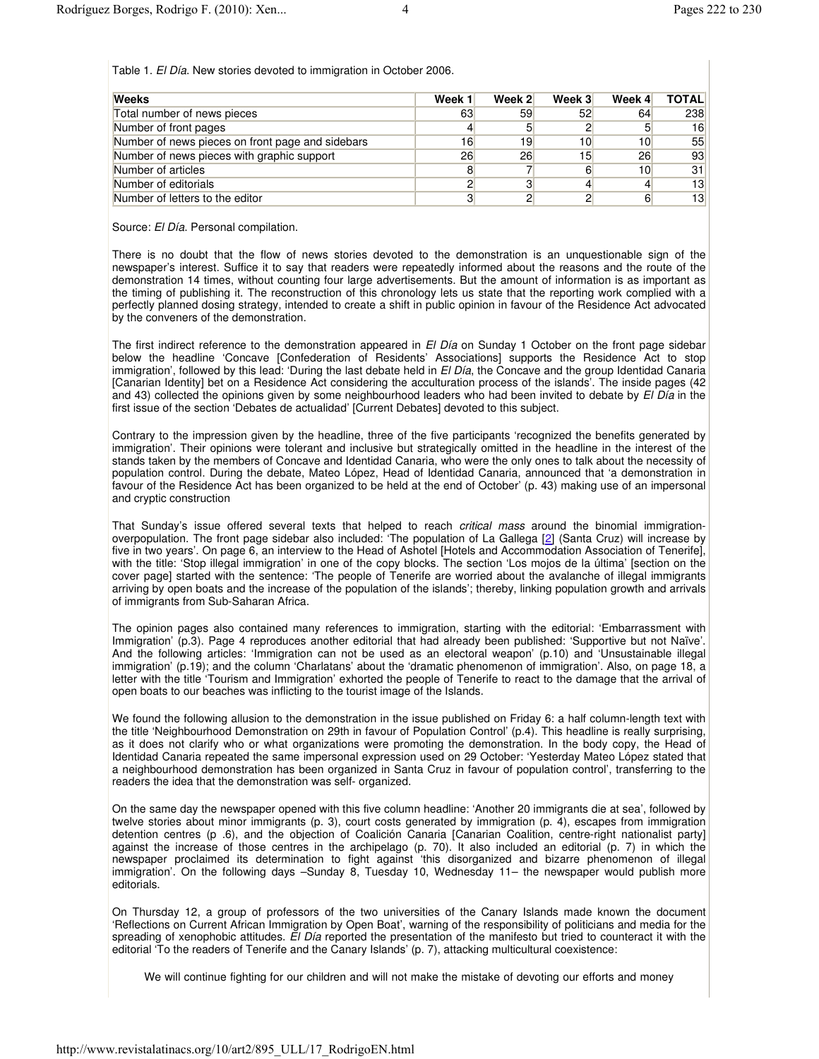Table 1. *El Día*. New stories devoted to immigration in October 2006.

| <b>Weeks</b>                                     | Week 1 | Week 2 | Week 3 | Week 4 | <b>TOTAL</b> |
|--------------------------------------------------|--------|--------|--------|--------|--------------|
| Total number of news pieces                      | 63     | 59     | 52     | 64     | 238          |
| Number of front pages                            |        | 5      |        |        | 16           |
| Number of news pieces on front page and sidebars | 16     | 19     | 10     | 10     | 55           |
| Number of news pieces with graphic support       | 26     | 26     | 15     | 26     | 93           |
| Number of articles                               |        |        | 6      | 10     | 31           |
| Number of editorials                             |        | 3      |        |        | 13           |
| Number of letters to the editor                  |        | 2      |        |        | 13           |

Source: *El Día*. Personal compilation.

There is no doubt that the flow of news stories devoted to the demonstration is an unquestionable sign of the newspaper's interest. Suffice it to say that readers were repeatedly informed about the reasons and the route of the demonstration 14 times, without counting four large advertisements. But the amount of information is as important as the timing of publishing it. The reconstruction of this chronology lets us state that the reporting work complied with a perfectly planned dosing strategy, intended to create a shift in public opinion in favour of the Residence Act advocated by the conveners of the demonstration.

The first indirect reference to the demonstration appeared in *El Día* on Sunday 1 October on the front page sidebar below the headline 'Concave [Confederation of Residents' Associations] supports the Residence Act to stop immigration', followed by this lead: 'During the last debate held in *El Día*, the Concave and the group Identidad Canaria [Canarian Identity] bet on a Residence Act considering the acculturation process of the islands'. The inside pages (42 and 43) collected the opinions given by some neighbourhood leaders who had been invited to debate by *El Día* in the first issue of the section 'Debates de actualidad' [Current Debates] devoted to this subject.

Contrary to the impression given by the headline, three of the five participants 'recognized the benefits generated by immigration'. Their opinions were tolerant and inclusive but strategically omitted in the headline in the interest of the stands taken by the members of Concave and Identidad Canaria, who were the only ones to talk about the necessity of population control. During the debate, Mateo López, Head of Identidad Canaria, announced that 'a demonstration in favour of the Residence Act has been organized to be held at the end of October' (p. 43) making use of an impersonal and cryptic construction

That Sunday's issue offered several texts that helped to reach *critical mass* around the binomial immigrationoverpopulation. The front page sidebar also included: 'The population of La Gallega [2] (Santa Cruz) will increase by five in two years'. On page 6, an interview to the Head of Ashotel [Hotels and Accommodation Association of Tenerife], with the title: 'Stop illegal immigration' in one of the copy blocks. The section 'Los mojos de la última' [section on the cover page] started with the sentence: 'The people of Tenerife are worried about the avalanche of illegal immigrants arriving by open boats and the increase of the population of the islands'; thereby, linking population growth and arrivals of immigrants from Sub-Saharan Africa.

The opinion pages also contained many references to immigration, starting with the editorial: 'Embarrassment with Immigration' (p.3). Page 4 reproduces another editorial that had already been published: 'Supportive but not Naïve'. And the following articles: 'Immigration can not be used as an electoral weapon' (p.10) and 'Unsustainable illegal immigration' (p.19); and the column 'Charlatans' about the 'dramatic phenomenon of immigration'. Also, on page 18, a letter with the title 'Tourism and Immigration' exhorted the people of Tenerife to react to the damage that the arrival of open boats to our beaches was inflicting to the tourist image of the Islands.

We found the following allusion to the demonstration in the issue published on Friday 6: a half column-length text with the title 'Neighbourhood Demonstration on 29th in favour of Population Control' (p.4). This headline is really surprising, as it does not clarify who or what organizations were promoting the demonstration. In the body copy, the Head of Identidad Canaria repeated the same impersonal expression used on 29 October: 'Yesterday Mateo López stated that a neighbourhood demonstration has been organized in Santa Cruz in favour of population control', transferring to the readers the idea that the demonstration was self- organized.

On the same day the newspaper opened with this five column headline: 'Another 20 immigrants die at sea', followed by twelve stories about minor immigrants (p. 3), court costs generated by immigration (p. 4), escapes from immigration detention centres (p .6), and the objection of Coalición Canaria [Canarian Coalition, centre-right nationalist party] against the increase of those centres in the archipelago (p. 70). It also included an editorial (p. 7) in which the newspaper proclaimed its determination to fight against 'this disorganized and bizarre phenomenon of illegal immigration'. On the following days –Sunday 8, Tuesday 10, Wednesday 11– the newspaper would publish more editorials.

On Thursday 12, a group of professors of the two universities of the Canary Islands made known the document 'Reflections on Current African Immigration by Open Boat', warning of the responsibility of politicians and media for the spreading of xenophobic attitudes. *El Día* reported the presentation of the manifesto but tried to counteract it with the editorial 'To the readers of Tenerife and the Canary Islands' (p. 7), attacking multicultural coexistence:

We will continue fighting for our children and will not make the mistake of devoting our efforts and money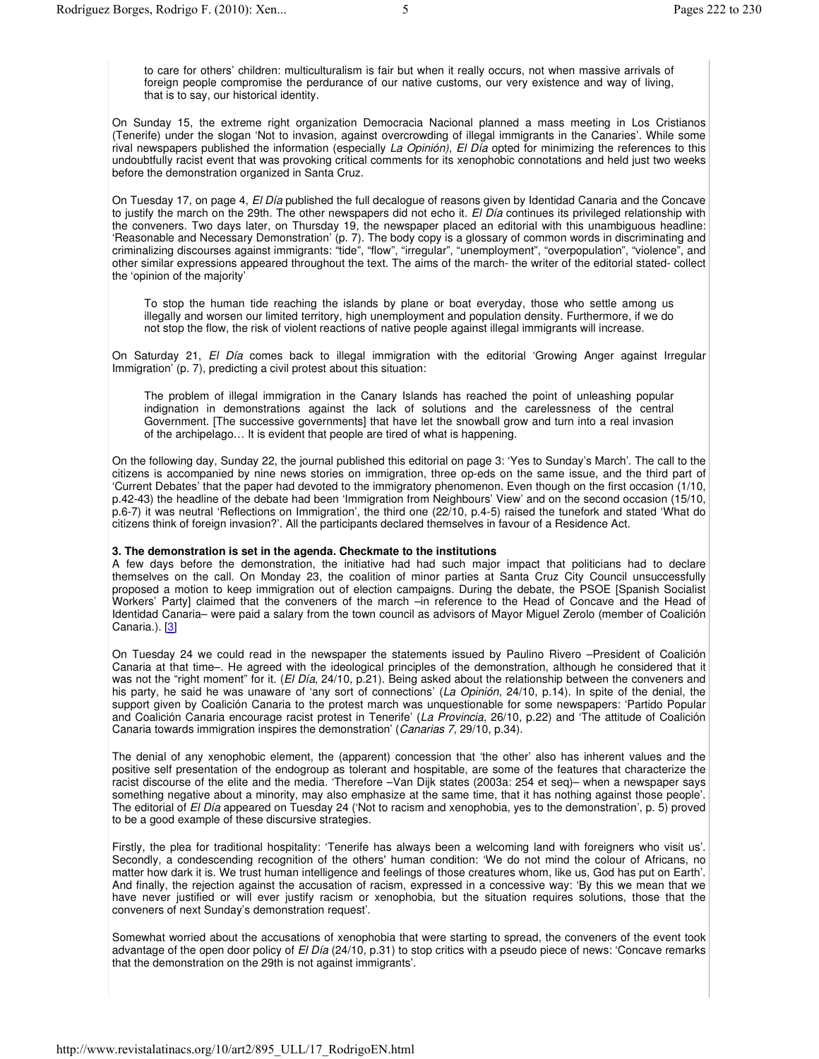to care for others' children: multiculturalism is fair but when it really occurs, not when massive arrivals of foreign people compromise the perdurance of our native customs, our very existence and way of living, that is to say, our historical identity.

On Sunday 15, the extreme right organization Democracia Nacional planned a mass meeting in Los Cristianos (Tenerife) under the slogan 'Not to invasion, against overcrowding of illegal immigrants in the Canaries'. While some rival newspapers published the information (especially *La Opinión)*, *El Día* opted for minimizing the references to this undoubtfully racist event that was provoking critical comments for its xenophobic connotations and held just two weeks before the demonstration organized in Santa Cruz.

On Tuesday 17, on page 4, *El Día* published the full decalogue of reasons given by Identidad Canaria and the Concave to justify the march on the 29th. The other newspapers did not echo it. *El Día* continues its privileged relationship with the conveners. Two days later, on Thursday 19, the newspaper placed an editorial with this unambiguous headline: 'Reasonable and Necessary Demonstration' (p. 7). The body copy is a glossary of common words in discriminating and criminalizing discourses against immigrants: "tide", "flow", "irregular", "unemployment", "overpopulation", "violence", and other similar expressions appeared throughout the text. The aims of the march- the writer of the editorial stated- collect the 'opinion of the majority'

To stop the human tide reaching the islands by plane or boat everyday, those who settle among us illegally and worsen our limited territory, high unemployment and population density. Furthermore, if we do not stop the flow, the risk of violent reactions of native people against illegal immigrants will increase.

On Saturday 21, *El Día* comes back to illegal immigration with the editorial 'Growing Anger against Irregular Immigration' (p. 7), predicting a civil protest about this situation:

The problem of illegal immigration in the Canary Islands has reached the point of unleashing popular indignation in demonstrations against the lack of solutions and the carelessness of the central Government. [The successive governments] that have let the snowball grow and turn into a real invasion of the archipelago… It is evident that people are tired of what is happening.

On the following day, Sunday 22, the journal published this editorial on page 3: 'Yes to Sunday's March'. The call to the citizens is accompanied by nine news stories on immigration, three op-eds on the same issue, and the third part of 'Current Debates' that the paper had devoted to the immigratory phenomenon. Even though on the first occasion (1/10, p.42-43) the headline of the debate had been 'Immigration from Neighbours' View' and on the second occasion (15/10, p.6-7) it was neutral 'Reflections on Immigration', the third one (22/10, p.4-5) raised the tunefork and stated 'What do citizens think of foreign invasion?'. All the participants declared themselves in favour of a Residence Act.

# **3. The demonstration is set in the agenda. Checkmate to the institutions**

A few days before the demonstration, the initiative had had such major impact that politicians had to declare themselves on the call. On Monday 23, the coalition of minor parties at Santa Cruz City Council unsuccessfully proposed a motion to keep immigration out of election campaigns. During the debate, the PSOE [Spanish Socialist Workers' Party] claimed that the conveners of the march –in reference to the Head of Concave and the Head of Identidad Canaria– were paid a salary from the town council as advisors of Mayor Miguel Zerolo (member of Coalición Canaria.). [3]

On Tuesday 24 we could read in the newspaper the statements issued by Paulino Rivero –President of Coalición Canaria at that time–. He agreed with the ideological principles of the demonstration, although he considered that it was not the "right moment" for it. (*El Día*, 24/10, p.21). Being asked about the relationship between the conveners and his party, he said he was unaware of 'any sort of connections' (*La Opinión*, 24/10, p.14). In spite of the denial, the support given by Coalición Canaria to the protest march was unquestionable for some newspapers: 'Partido Popular and Coalición Canaria encourage racist protest in Tenerife' (*La Provincia*, 26/10, p.22) and 'The attitude of Coalición Canaria towards immigration inspires the demonstration' (*Canarias 7*, 29/10, p.34).

The denial of any xenophobic element, the (apparent) concession that 'the other' also has inherent values and the positive self presentation of the endogroup as tolerant and hospitable, are some of the features that characterize the racist discourse of the elite and the media. 'Therefore –Van Dijk states (2003a: 254 et seq)– when a newspaper says something negative about a minority, may also emphasize at the same time, that it has nothing against those people'. The editorial of *El Día* appeared on Tuesday 24 ('Not to racism and xenophobia, yes to the demonstration', p. 5) proved to be a good example of these discursive strategies.

Firstly, the plea for traditional hospitality: 'Tenerife has always been a welcoming land with foreigners who visit us'. Secondly, a condescending recognition of the others' human condition: 'We do not mind the colour of Africans, no matter how dark it is. We trust human intelligence and feelings of those creatures whom, like us, God has put on Earth'. And finally, the rejection against the accusation of racism, expressed in a concessive way: 'By this we mean that we have never justified or will ever justify racism or xenophobia, but the situation requires solutions, those that the conveners of next Sunday's demonstration request'.

Somewhat worried about the accusations of xenophobia that were starting to spread, the conveners of the event took advantage of the open door policy of *El Día* (24/10, p.31) to stop critics with a pseudo piece of news: 'Concave remarks that the demonstration on the 29th is not against immigrants'.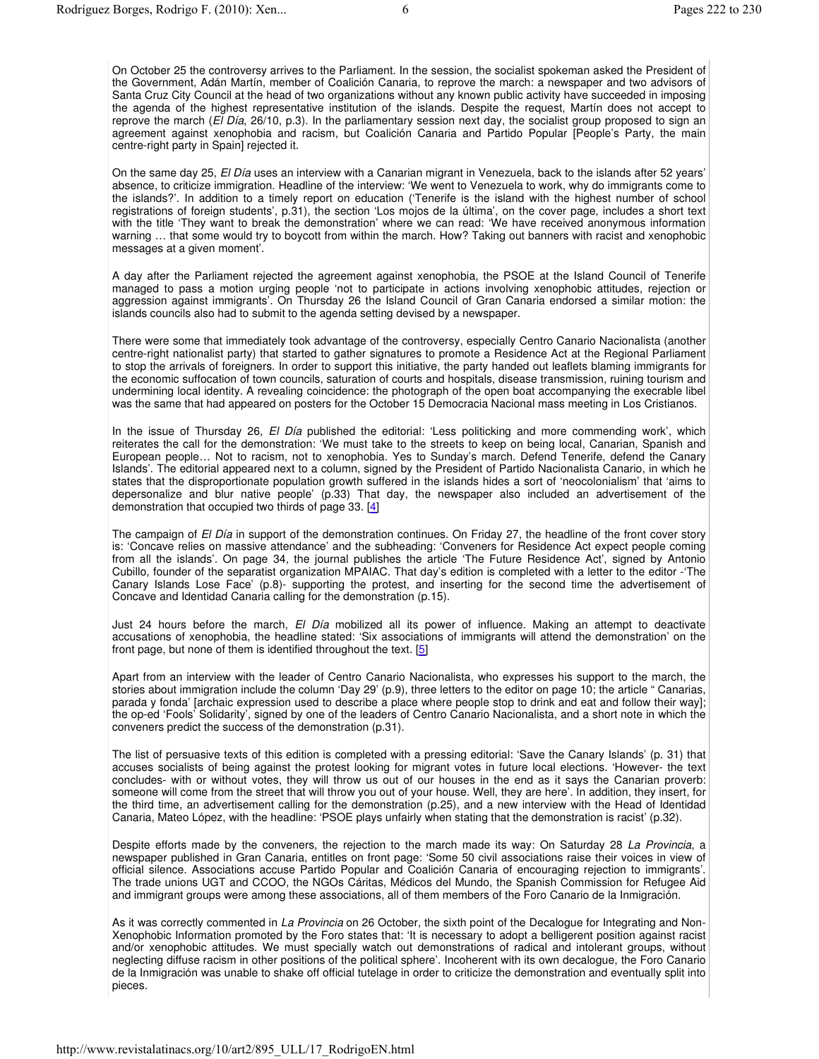On October 25 the controversy arrives to the Parliament. In the session, the socialist spokeman asked the President of the Government, Adán Martín, member of Coalición Canaria, to reprove the march: a newspaper and two advisors of Santa Cruz City Council at the head of two organizations without any known public activity have succeeded in imposing the agenda of the highest representative institution of the islands. Despite the request, Martín does not accept to reprove the march (*El Día*, 26/10, p.3). In the parliamentary session next day, the socialist group proposed to sign an agreement against xenophobia and racism, but Coalición Canaria and Partido Popular [People's Party, the main centre-right party in Spain] rejected it.

On the same day 25, *El Día* uses an interview with a Canarian migrant in Venezuela, back to the islands after 52 years' absence, to criticize immigration. Headline of the interview: 'We went to Venezuela to work, why do immigrants come to the islands?'. In addition to a timely report on education ('Tenerife is the island with the highest number of school registrations of foreign students', p.31), the section 'Los mojos de la última', on the cover page, includes a short text with the title 'They want to break the demonstration' where we can read: 'We have received anonymous information warning ... that some would try to boycott from within the march. How? Taking out banners with racist and xenophobic messages at a given moment'.

A day after the Parliament rejected the agreement against xenophobia, the PSOE at the Island Council of Tenerife managed to pass a motion urging people 'not to participate in actions involving xenophobic attitudes, rejection or aggression against immigrants'. On Thursday 26 the Island Council of Gran Canaria endorsed a similar motion: the islands councils also had to submit to the agenda setting devised by a newspaper.

There were some that immediately took advantage of the controversy, especially Centro Canario Nacionalista (another centre-right nationalist party) that started to gather signatures to promote a Residence Act at the Regional Parliament to stop the arrivals of foreigners. In order to support this initiative, the party handed out leaflets blaming immigrants for the economic suffocation of town councils, saturation of courts and hospitals, disease transmission, ruining tourism and undermining local identity. A revealing coincidence: the photograph of the open boat accompanying the execrable libel was the same that had appeared on posters for the October 15 Democracia Nacional mass meeting in Los Cristianos.

In the issue of Thursday 26, *El Día* published the editorial: 'Less politicking and more commending work', which reiterates the call for the demonstration: 'We must take to the streets to keep on being local, Canarian, Spanish and European people… Not to racism, not to xenophobia. Yes to Sunday's march. Defend Tenerife, defend the Canary Islands'. The editorial appeared next to a column, signed by the President of Partido Nacionalista Canario, in which he states that the disproportionate population growth suffered in the islands hides a sort of 'neocolonialism' that 'aims to depersonalize and blur native people' (p.33) That day, the newspaper also included an advertisement of the demonstration that occupied two thirds of page 33. [4]

The campaign of *El Día* in support of the demonstration continues. On Friday 27, the headline of the front cover story is: 'Concave relies on massive attendance' and the subheading: 'Conveners for Residence Act expect people coming from all the islands'. On page 34, the journal publishes the article 'The Future Residence Act', signed by Antonio Cubillo, founder of the separatist organization MPAIAC. That day's edition is completed with a letter to the editor -'The Canary Islands Lose Face' (p.8)- supporting the protest, and inserting for the second time the advertisement of Concave and Identidad Canaria calling for the demonstration (p.15).

Just 24 hours before the march, *El Día* mobilized all its power of influence. Making an attempt to deactivate accusations of xenophobia, the headline stated: 'Six associations of immigrants will attend the demonstration' on the front page, but none of them is identified throughout the text. [5]

Apart from an interview with the leader of Centro Canario Nacionalista, who expresses his support to the march, the stories about immigration include the column 'Day 29' (p.9), three letters to the editor on page 10; the article " Canarias, parada y fonda' [archaic expression used to describe a place where people stop to drink and eat and follow their way]; the op-ed 'Fools' Solidarity', signed by one of the leaders of Centro Canario Nacionalista, and a short note in which the conveners predict the success of the demonstration (p.31).

The list of persuasive texts of this edition is completed with a pressing editorial: 'Save the Canary Islands' (p. 31) that accuses socialists of being against the protest looking for migrant votes in future local elections. 'However- the text concludes- with or without votes, they will throw us out of our houses in the end as it says the Canarian proverb: someone will come from the street that will throw you out of your house. Well, they are here'. In addition, they insert, for the third time, an advertisement calling for the demonstration (p.25), and a new interview with the Head of Identidad Canaria, Mateo López, with the headline: 'PSOE plays unfairly when stating that the demonstration is racist' (p.32).

Despite efforts made by the conveners, the rejection to the march made its way: On Saturday 28 *La Provincia*, a newspaper published in Gran Canaria, entitles on front page: 'Some 50 civil associations raise their voices in view of official silence. Associations accuse Partido Popular and Coalición Canaria of encouraging rejection to immigrants'. The trade unions UGT and CCOO, the NGOs Cáritas, Médicos del Mundo, the Spanish Commission for Refugee Aid and immigrant groups were among these associations, all of them members of the Foro Canario de la Inmigración.

As it was correctly commented in *La Provincia* on 26 October, the sixth point of the Decalogue for Integrating and Non-Xenophobic Information promoted by the Foro states that: 'It is necessary to adopt a belligerent position against racist and/or xenophobic attitudes. We must specially watch out demonstrations of radical and intolerant groups, without neglecting diffuse racism in other positions of the political sphere'. Incoherent with its own decalogue, the Foro Canario de la Inmigración was unable to shake off official tutelage in order to criticize the demonstration and eventually split into pieces.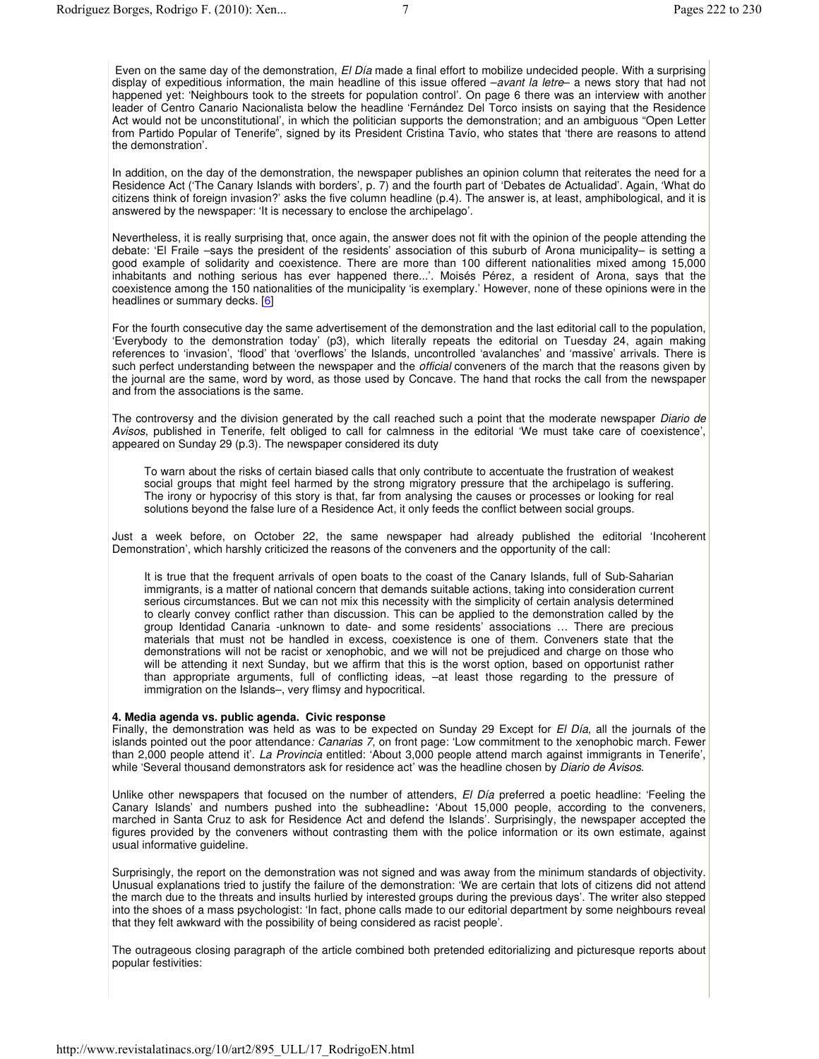Even on the same day of the demonstration, *El Día* made a final effort to mobilize undecided people. With a surprising display of expeditious information, the main headline of this issue offered –*avant la letre*– a news story that had not happened yet: 'Neighbours took to the streets for population control'. On page 6 there was an interview with another leader of Centro Canario Nacionalista below the headline 'Fernández Del Torco insists on saying that the Residence Act would not be unconstitutional', in which the politician supports the demonstration; and an ambiguous "Open Letter from Partido Popular of Tenerife", signed by its President Cristina Tavío, who states that 'there are reasons to attend the demonstration'.

In addition, on the day of the demonstration, the newspaper publishes an opinion column that reiterates the need for a Residence Act ('The Canary Islands with borders', p. 7) and the fourth part of 'Debates de Actualidad'. Again, 'What do citizens think of foreign invasion?' asks the five column headline (p.4). The answer is, at least, amphibological, and it is answered by the newspaper: 'It is necessary to enclose the archipelago'.

Nevertheless, it is really surprising that, once again, the answer does not fit with the opinion of the people attending the debate: 'El Fraile –says the president of the residents' association of this suburb of Arona municipality– is setting a good example of solidarity and coexistence. There are more than 100 different nationalities mixed among 15,000 inhabitants and nothing serious has ever happened there...'. Moisés Pérez, a resident of Arona, says that the coexistence among the 150 nationalities of the municipality 'is exemplary.' However, none of these opinions were in the headlines or summary decks. [6]

For the fourth consecutive day the same advertisement of the demonstration and the last editorial call to the population, 'Everybody to the demonstration today' (p3), which literally repeats the editorial on Tuesday 24, again making references to 'invasion', 'flood' that 'overflows' the Islands, uncontrolled 'avalanches' and 'massive' arrivals. There is such perfect understanding between the newspaper and the *official* conveners of the march that the reasons given by the journal are the same, word by word, as those used by Concave. The hand that rocks the call from the newspaper and from the associations is the same.

The controversy and the division generated by the call reached such a point that the moderate newspaper *Diario de Avisos*, published in Tenerife, felt obliged to call for calmness in the editorial 'We must take care of coexistence', appeared on Sunday 29 (p.3). The newspaper considered its duty

To warn about the risks of certain biased calls that only contribute to accentuate the frustration of weakest social groups that might feel harmed by the strong migratory pressure that the archipelago is suffering. The irony or hypocrisy of this story is that, far from analysing the causes or processes or looking for real solutions beyond the false lure of a Residence Act, it only feeds the conflict between social groups.

Just a week before, on October 22, the same newspaper had already published the editorial 'Incoherent Demonstration', which harshly criticized the reasons of the conveners and the opportunity of the call:

It is true that the frequent arrivals of open boats to the coast of the Canary Islands, full of Sub-Saharian immigrants, is a matter of national concern that demands suitable actions, taking into consideration current serious circumstances. But we can not mix this necessity with the simplicity of certain analysis determined to clearly convey conflict rather than discussion. This can be applied to the demonstration called by the group Identidad Canaria -unknown to date- and some residents' associations … There are precious materials that must not be handled in excess, coexistence is one of them. Conveners state that the demonstrations will not be racist or xenophobic, and we will not be prejudiced and charge on those who will be attending it next Sunday, but we affirm that this is the worst option, based on opportunist rather than appropriate arguments, full of conflicting ideas, –at least those regarding to the pressure of immigration on the Islands–, very flimsy and hypocritical.

### **4. Media agenda vs. public agenda. Civic response**

Finally, the demonstration was held as was to be expected on Sunday 29 Except for *El Día*, all the journals of the islands pointed out the poor attendance*: Canarias 7*, on front page: 'Low commitment to the xenophobic march. Fewer than 2,000 people attend it'. *La Provincia* entitled: 'About 3,000 people attend march against immigrants in Tenerife', while 'Several thousand demonstrators ask for residence act' was the headline chosen by *Diario de Avisos*.

Unlike other newspapers that focused on the number of attenders, *El Día* preferred a poetic headline: 'Feeling the Canary Islands' and numbers pushed into the subheadline**:** 'About 15,000 people, according to the conveners, marched in Santa Cruz to ask for Residence Act and defend the Islands'. Surprisingly, the newspaper accepted the figures provided by the conveners without contrasting them with the police information or its own estimate, against usual informative guideline.

Surprisingly, the report on the demonstration was not signed and was away from the minimum standards of objectivity. Unusual explanations tried to justify the failure of the demonstration: 'We are certain that lots of citizens did not attend the march due to the threats and insults hurlied by interested groups during the previous days'. The writer also stepped into the shoes of a mass psychologist: 'In fact, phone calls made to our editorial department by some neighbours reveal that they felt awkward with the possibility of being considered as racist people'.

The outrageous closing paragraph of the article combined both pretended editorializing and picturesque reports about popular festivities: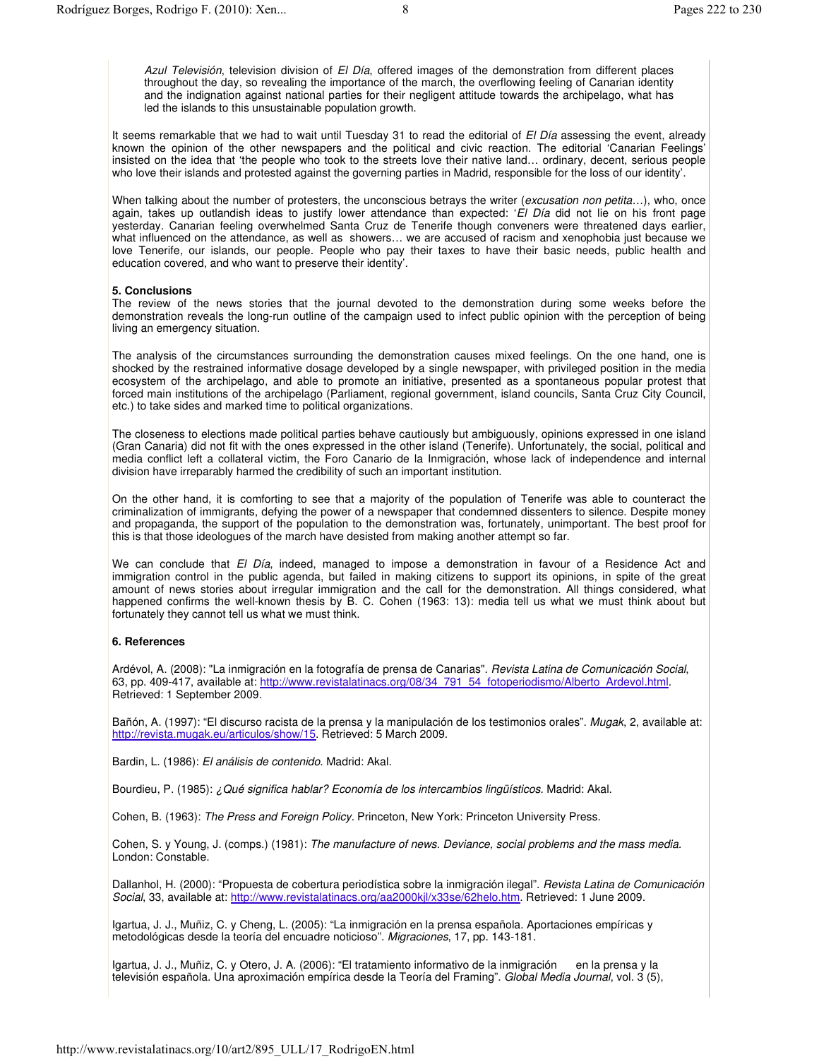*Azul Televisión*, television division of *El Día*, offered images of the demonstration from different places throughout the day, so revealing the importance of the march, the overflowing feeling of Canarian identity and the indignation against national parties for their negligent attitude towards the archipelago, what has led the islands to this unsustainable population growth.

It seems remarkable that we had to wait until Tuesday 31 to read the editorial of *El Día* assessing the event, already known the opinion of the other newspapers and the political and civic reaction. The editorial 'Canarian Feelings' insisted on the idea that 'the people who took to the streets love their native land… ordinary, decent, serious people who love their islands and protested against the governing parties in Madrid, responsible for the loss of our identity'.

When talking about the number of protesters, the unconscious betrays the writer (*excusation non petita…*), who, once again, takes up outlandish ideas to justify lower attendance than expected: '*El Día* did not lie on his front page yesterday. Canarian feeling overwhelmed Santa Cruz de Tenerife though conveners were threatened days earlier, what influenced on the attendance, as well as showers… we are accused of racism and xenophobia just because we love Tenerife, our islands, our people. People who pay their taxes to have their basic needs, public health and education covered, and who want to preserve their identity'.

### **5. Conclusions**

The review of the news stories that the journal devoted to the demonstration during some weeks before the demonstration reveals the long-run outline of the campaign used to infect public opinion with the perception of being living an emergency situation.

The analysis of the circumstances surrounding the demonstration causes mixed feelings. On the one hand, one is shocked by the restrained informative dosage developed by a single newspaper, with privileged position in the media ecosystem of the archipelago, and able to promote an initiative, presented as a spontaneous popular protest that forced main institutions of the archipelago (Parliament, regional government, island councils, Santa Cruz City Council, etc.) to take sides and marked time to political organizations.

The closeness to elections made political parties behave cautiously but ambiguously, opinions expressed in one island (Gran Canaria) did not fit with the ones expressed in the other island (Tenerife). Unfortunately, the social, political and media conflict left a collateral victim, the Foro Canario de la Inmigración, whose lack of independence and internal division have irreparably harmed the credibility of such an important institution.

On the other hand, it is comforting to see that a majority of the population of Tenerife was able to counteract the criminalization of immigrants, defying the power of a newspaper that condemned dissenters to silence. Despite money and propaganda, the support of the population to the demonstration was, fortunately, unimportant. The best proof for this is that those ideologues of the march have desisted from making another attempt so far.

We can conclude that *El Día*, indeed, managed to impose a demonstration in favour of a Residence Act and immigration control in the public agenda, but failed in making citizens to support its opinions, in spite of the great amount of news stories about irregular immigration and the call for the demonstration. All things considered, what happened confirms the well-known thesis by B. C. Cohen (1963: 13): media tell us what we must think about but fortunately they cannot tell us what we must think.

### **6. References**

Ardévol, A. (2008): "La inmigración en la fotografía de prensa de Canarias". *Revista Latina de Comunicación Social*, 63, pp. 409-417, available at: http://www.revistalatinacs.org/08/34\_791\_54\_fotoperiodismo/Alberto\_Ardevol.html. Retrieved: 1 September 2009.

Bañón, A. (1997): "El discurso racista de la prensa y la manipulación de los testimonios orales". *Mugak*, 2, available at: http://revista.mugak.eu/articulos/show/15. Retrieved: 5 March 2009.

Bardin, L. (1986): *El análisis de contenido*. Madrid: Akal.

Bourdieu, P. (1985): *¿Qué significa hablar? Economía de los intercambios lingüísticos.* Madrid: Akal.

Cohen, B. (1963): *The Press and Foreign Policy.* Princeton, New York: Princeton University Press.

Cohen, S. y Young, J. (comps.) (1981): *The manufacture of news. Deviance, social problems and the mass media.* London: Constable.

Dallanhol, H. (2000): "Propuesta de cobertura periodística sobre la inmigración ilegal". *Revista Latina de Comunicación Social*, 33, available at: http://www.revistalatinacs.org/aa2000kjl/x33se/62helo.htm. Retrieved: 1 June 2009.

Igartua, J. J., Muñiz, C. y Cheng, L. (2005): "La inmigración en la prensa española. Aportaciones empíricas y metodológicas desde la teoría del encuadre noticioso". *Migraciones*, 17, pp. 143-181.

Igartua, J. J., Muñiz, C. y Otero, J. A. (2006): "El tratamiento informativo de la inmigración en la prensa y la televisión española. Una aproximación empírica desde la Teoría del Framing". *Global Media Journal*, vol. 3 (5),